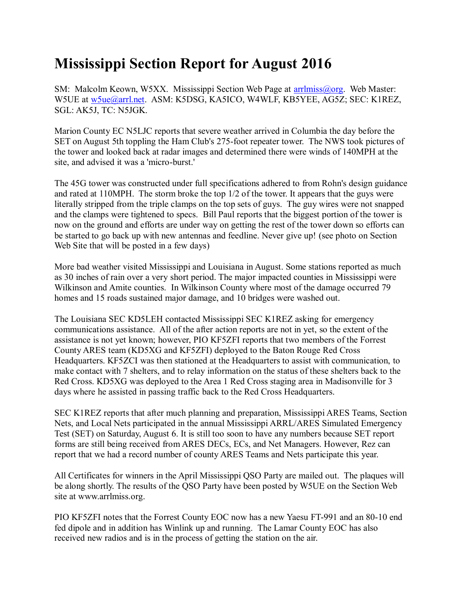## **Mississippi Section Report for August 2016**

SM: Malcolm Keown, W5XX. Mississippi Section Web Page at [arrlmiss@org.](mailto:arrlmiss@org) Web Master: W5UE at [w5ue@arrl.net.](mailto:w5ue@arrl.net) ASM: K5DSG, KA5ICO, W4WLF, KB5YEE, AG5Z; SEC: K1REZ, SGL: AK5J, TC: N5JGK.

Marion County EC N5LJC reports that severe weather arrived in Columbia the day before the SET on August 5th toppling the Ham Club's 275-foot repeater tower. The NWS took pictures of the tower and looked back at radar images and determined there were winds of 140MPH at the site, and advised it was a 'micro-burst.'

The 45G tower was constructed under full specifications adhered to from Rohn's design guidance and rated at 110MPH. The storm broke the top 1/2 of the tower. It appears that the guys were literally stripped from the triple clamps on the top sets of guys. The guy wires were not snapped and the clamps were tightened to specs. Bill Paul reports that the biggest portion of the tower is now on the ground and efforts are under way on getting the rest of the tower down so efforts can be started to go back up with new antennas and feedline. Never give up! (see photo on Section Web Site that will be posted in a few days)

More bad weather visited Mississippi and Louisiana in August. Some stations reported as much as 30 inches of rain over a very short period. The major impacted counties in Mississippi were Wilkinson and Amite counties. In Wilkinson County where most of the damage occurred 79 homes and 15 roads sustained major damage, and 10 bridges were washed out.

The Louisiana SEC KD5LEH contacted Mississippi SEC K1REZ asking for emergency communications assistance. All of the after action reports are not in yet, so the extent of the assistance is not yet known; however, PIO KF5ZFI reports that two members of the Forrest County ARES team (KD5XG and KF5ZFI) deployed to the Baton Rouge Red Cross Headquarters. KF5ZCI was then stationed at the Headquarters to assist with communication, to make contact with 7 shelters, and to relay information on the status of these shelters back to the Red Cross. KD5XG was deployed to the Area 1 Red Cross staging area in Madisonville for 3 days where he assisted in passing traffic back to the Red Cross Headquarters.

SEC K1REZ reports that after much planning and preparation, Mississippi ARES Teams, Section Nets, and Local Nets participated in the annual Mississippi ARRL/ARES Simulated Emergency Test (SET) on Saturday, August 6. It is still too soon to have any numbers because SET report forms are still being received from ARES DECs, ECs, and Net Managers. However, Rez can report that we had a record number of county ARES Teams and Nets participate this year.

All Certificates for winners in the April Mississippi QSO Party are mailed out. The plaques will be along shortly. The results of the QSO Party have been posted by W5UE on the Section Web site at www.arrlmiss.org.

PIO KF5ZFI notes that the Forrest County EOC now has a new Yaesu FT-991 and an 80-10 end fed dipole and in addition has Winlink up and running. The Lamar County EOC has also received new radios and is in the process of getting the station on the air.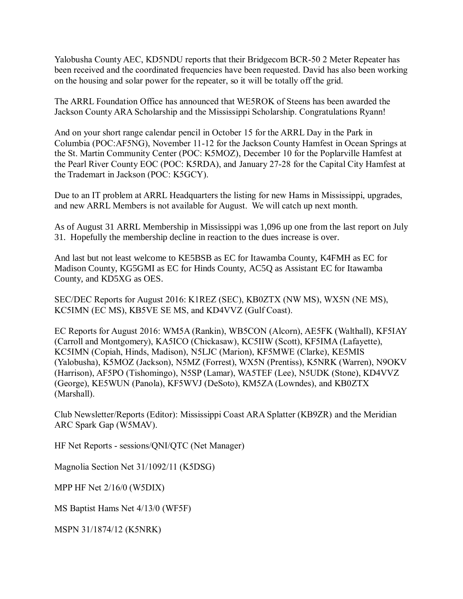Yalobusha County AEC, KD5NDU reports that their Bridgecom BCR-50 2 Meter Repeater has been received and the coordinated frequencies have been requested. David has also been working on the housing and solar power for the repeater, so it will be totally off the grid.

The ARRL Foundation Office has announced that WE5ROK of Steens has been awarded the Jackson County ARA Scholarship and the Mississippi Scholarship. Congratulations Ryann!

And on your short range calendar pencil in October 15 for the ARRL Day in the Park in Columbia (POC:AF5NG), November 11-12 for the Jackson County Hamfest in Ocean Springs at the St. Martin Community Center (POC: K5MOZ), December 10 for the Poplarville Hamfest at the Pearl River County EOC (POC: K5RDA), and January 27-28 for the Capital City Hamfest at the Trademart in Jackson (POC: K5GCY).

Due to an IT problem at ARRL Headquarters the listing for new Hams in Mississippi, upgrades, and new ARRL Members is not available for August. We will catch up next month.

As of August 31 ARRL Membership in Mississippi was 1,096 up one from the last report on July 31. Hopefully the membership decline in reaction to the dues increase is over.

And last but not least welcome to KE5BSB as EC for Itawamba County, K4FMH as EC for Madison County, KG5GMI as EC for Hinds County, AC5Q as Assistant EC for Itawamba County, and KD5XG as OES.

SEC/DEC Reports for August 2016: K1REZ (SEC), KB0ZTX (NW MS), WX5N (NE MS), KC5IMN (EC MS), KB5VE SE MS, and KD4VVZ (Gulf Coast).

EC Reports for August 2016: WM5A (Rankin), WB5CON (Alcorn), AE5FK (Walthall), KF5IAY (Carroll and Montgomery), KA5ICO (Chickasaw), KC5IIW (Scott), KF5IMA (Lafayette), KC5IMN (Copiah, Hinds, Madison), N5LJC (Marion), KF5MWE (Clarke), KE5MIS (Yalobusha), K5MOZ (Jackson), N5MZ (Forrest), WX5N (Prentiss), K5NRK (Warren), N9OKV (Harrison), AF5PO (Tishomingo), N5SP (Lamar), WA5TEF (Lee), N5UDK (Stone), KD4VVZ (George), KE5WUN (Panola), KF5WVJ (DeSoto), KM5ZA (Lowndes), and KB0ZTX (Marshall).

Club Newsletter/Reports (Editor): Mississippi Coast ARA Splatter (KB9ZR) and the Meridian ARC Spark Gap (W5MAV).

HF Net Reports - sessions/QNI/QTC (Net Manager)

Magnolia Section Net 31/1092/11 (K5DSG)

MPP HF Net 2/16/0 (W5DIX)

MS Baptist Hams Net 4/13/0 (WF5F)

MSPN 31/1874/12 (K5NRK)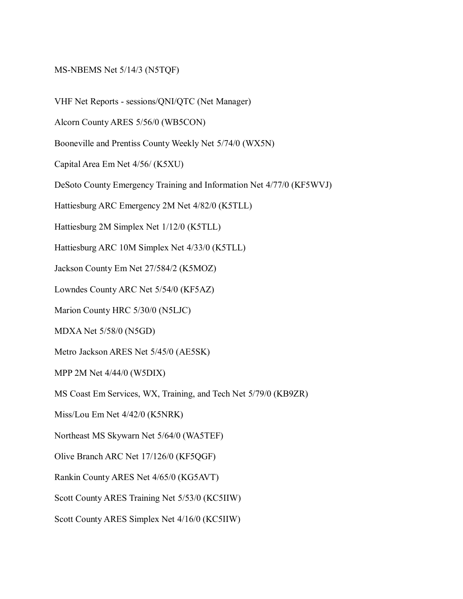## MS-NBEMS Net 5/14/3 (N5TQF)

VHF Net Reports - sessions/QNI/QTC (Net Manager)

Alcorn County ARES 5/56/0 (WB5CON)

Booneville and Prentiss County Weekly Net 5/74/0 (WX5N)

Capital Area Em Net 4/56/ (K5XU)

DeSoto County Emergency Training and Information Net 4/77/0 (KF5WVJ)

Hattiesburg ARC Emergency 2M Net 4/82/0 (K5TLL)

Hattiesburg 2M Simplex Net 1/12/0 (K5TLL)

Hattiesburg ARC 10M Simplex Net 4/33/0 (K5TLL)

Jackson County Em Net 27/584/2 (K5MOZ)

Lowndes County ARC Net 5/54/0 (KF5AZ)

Marion County HRC 5/30/0 (N5LJC)

MDXA Net 5/58/0 (N5GD)

Metro Jackson ARES Net 5/45/0 (AE5SK)

MPP 2M Net 4/44/0 (W5DIX)

MS Coast Em Services, WX, Training, and Tech Net 5/79/0 (KB9ZR)

Miss/Lou Em Net 4/42/0 (K5NRK)

Northeast MS Skywarn Net 5/64/0 (WA5TEF)

Olive Branch ARC Net 17/126/0 (KF5QGF)

Rankin County ARES Net 4/65/0 (KG5AVT)

Scott County ARES Training Net 5/53/0 (KC5IIW)

Scott County ARES Simplex Net 4/16/0 (KC5IIW)